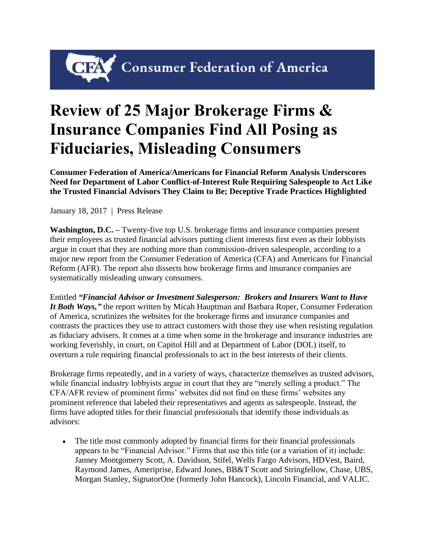## CIPA Consumer Federation of America

## **Review of 25 Major Brokerage Firms & Insurance Companies Find All Posing as Fiduciaries, Misleading Consumers**

**Consumer Federation of America/Americans for Financial Reform Analysis Underscores Need for Department of Labor Conflict-of-Interest Rule Requiring Salespeople to Act Like the Trusted Financial Advisors They Claim to Be; Deceptive Trade Practices Highlighted**

January 18, 2017 | Press Release

**Washington, D.C. –** Twenty-five top U.S. brokerage firms and insurance companies present their employees as trusted financial advisors putting client interests first even as their lobbyists argue in court that they are nothing more than commission-driven salespeople, according to a major new report from the Consumer Federation of America (CFA) and Americans for Financial Reform (AFR). The report also dissects how brokerage firms and insurance companies are systematically misleading unwary consumers.

Entitled *["Financial Advisor or Investment Salesperson:](http://consumerfed.org/reports/financial-advisor-or-investment-salesperson-brokers-and-insurers-want-to-have-it-both-ways) Brokers and Insurers Want to Have [It Both Ways,](http://consumerfed.org/reports/financial-advisor-or-investment-salesperson-brokers-and-insurers-want-to-have-it-both-ways)"* the report written by Micah Hauptman and Barbara Roper, Consumer Federation of America, scrutinizes the websites for the brokerage firms and insurance companies and contrasts the practices they use to attract customers with those they use when resisting regulation as fiduciary advisers. It comes at a time when some in the brokerage and insurance industries are working feverishly, in court, on Capitol Hill and at Department of Labor (DOL) itself, to overturn a rule requiring financial professionals to act in the best interests of their clients.

Brokerage firms repeatedly, and in a variety of ways, characterize themselves as trusted advisors, while financial industry lobbyists argue in court that they are "merely selling a product." The CFA/AFR review of prominent firms' websites did not find on these firms' websites any prominent reference that labeled their representatives and agents as salespeople. Instead, the firms have adopted titles for their financial professionals that identify those individuals as advisors:

• The title most commonly adopted by financial firms for their financial professionals appears to be "Financial Advisor." Firms that use this title (or a variation of it) include: Janney Montgomery Scott, A. Davidson, Stifel, Wells Fargo Advisors, HDVest, Baird, Raymond James, Ameriprise, Edward Jones, BB&T Scott and Stringfellow, Chase, UBS, Morgan Stanley, SignatorOne (formerly John Hancock), Lincoln Financial, and VALIC.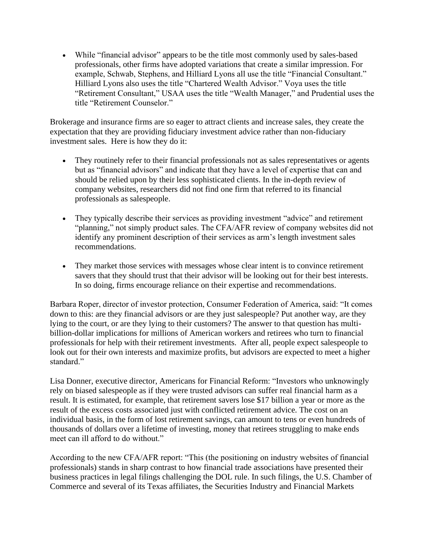• While "financial advisor" appears to be the title most commonly used by sales-based professionals, other firms have adopted variations that create a similar impression. For example, Schwab, Stephens, and Hilliard Lyons all use the title "Financial Consultant." Hilliard Lyons also uses the title "Chartered Wealth Advisor." Voya uses the title "Retirement Consultant," USAA uses the title "Wealth Manager," and Prudential uses the title "Retirement Counselor."

Brokerage and insurance firms are so eager to attract clients and increase sales, they create the expectation that they are providing fiduciary investment advice rather than non-fiduciary investment sales. Here is how they do it:

- They routinely refer to their financial professionals not as sales representatives or agents but as "financial advisors" and indicate that they have a level of expertise that can and should be relied upon by their less sophisticated clients. In the in-depth review of company websites, researchers did not find one firm that referred to its financial professionals as salespeople.
- They typically describe their services as providing investment "advice" and retirement "planning," not simply product sales. The CFA/AFR review of company websites did not identify any prominent description of their services as arm's length investment sales recommendations.
- They market those services with messages whose clear intent is to convince retirement savers that they should trust that their advisor will be looking out for their best interests. In so doing, firms encourage reliance on their expertise and recommendations.

Barbara Roper, director of investor protection, Consumer Federation of America, said: "It comes down to this: are they financial advisors or are they just salespeople? Put another way, are they lying to the court, or are they lying to their customers? The answer to that question has multibillion-dollar implications for millions of American workers and retirees who turn to financial professionals for help with their retirement investments. After all, people expect salespeople to look out for their own interests and maximize profits, but advisors are expected to meet a higher standard."

Lisa Donner, executive director, Americans for Financial Reform: "Investors who unknowingly rely on biased salespeople as if they were trusted advisors can suffer real financial harm as a result. It is estimated, for example, that retirement savers lose \$17 billion a year or more as the result of the excess costs associated just with conflicted retirement advice. The cost on an individual basis, in the form of lost retirement savings, can amount to tens or even hundreds of thousands of dollars over a lifetime of investing, money that retirees struggling to make ends meet can ill afford to do without."

According to the new CFA/AFR report: "This (the positioning on industry websites of financial professionals) stands in sharp contrast to how financial trade associations have presented their business practices in legal filings challenging the DOL rule. In such filings, the U.S. Chamber of Commerce and several of its Texas affiliates, the Securities Industry and Financial Markets